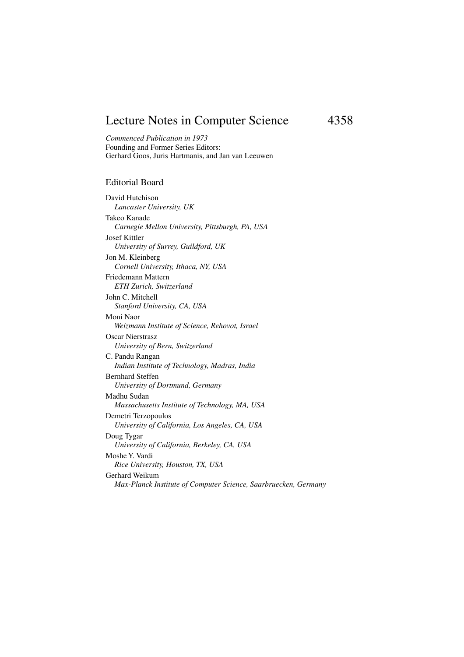## Lecture Notes in Computer Science 4358

*Commenced Publication in 1973* Founding and Former Series Editors: Gerhard Goos, Juris Hartmanis, and Jan van Leeuwen

## Editorial Board

David Hutchison *Lancaster University, UK* Takeo Kanade *Carnegie Mellon University, Pittsburgh, PA, USA* Josef Kittler *University of Surrey, Guildford, UK* Jon M. Kleinberg *Cornell University, Ithaca, NY, USA* Friedemann Mattern *ETH Zurich, Switzerland* John C. Mitchell *Stanford University, CA, USA* Moni Naor *Weizmann Institute of Science, Rehovot, Israel* Oscar Nierstrasz *University of Bern, Switzerland* C. Pandu Rangan *Indian Institute of Technology, Madras, India* Bernhard Steffen *University of Dortmund, Germany* Madhu Sudan *Massachusetts Institute of Technology, MA, USA* Demetri Terzopoulos *University of California, Los Angeles, CA, USA* Doug Tygar *University of California, Berkeley, CA, USA* Moshe Y. Vardi *Rice University, Houston, TX, USA* Gerhard Weikum *Max-Planck Institute of Computer Science, Saarbruecken, Germany*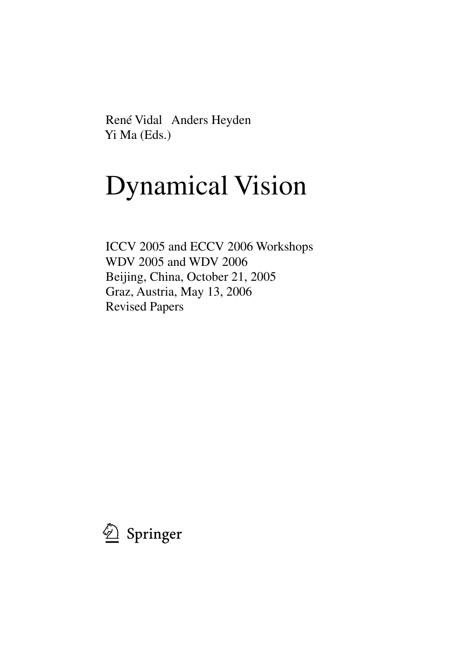René Vidal Anders Heyden Yi Ma (Eds.)

## Dynamical Vision

ICCV 2005 and ECCV 2006 Workshops WDV 2005 and WDV 2006 Beijing, China, October 21, 2005 Graz, Austria, May 13, 2006 Revised Papers

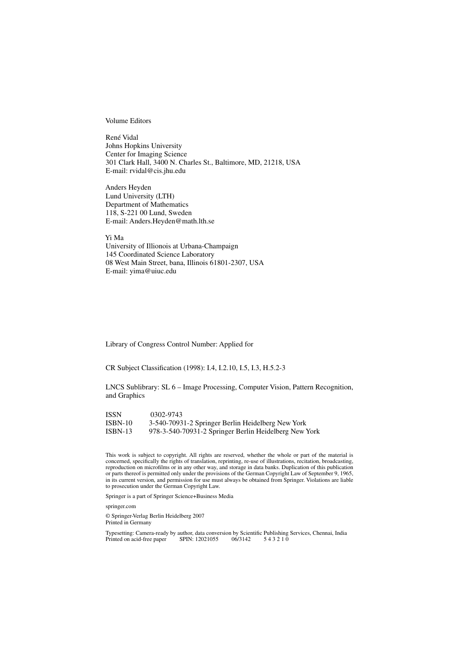Volume Editors

René Vidal Johns Hopkins University Center for Imaging Science 301 Clark Hall, 3400 N. Charles St., Baltimore, MD, 21218, USA E-mail: rvidal@cis.jhu.edu

Anders Heyden Lund University (LTH) Department of Mathematics 118, S-221 00 Lund, Sweden E-mail: Anders.Heyden@math.lth.se

Yi Ma

University of Illionois at Urbana-Champaign 145 Coordinated Science Laboratory 08 West Main Street, bana, Illinois 61801-2307, USA E-mail: yima@uiuc.edu

Library of Congress Control Number: Applied for

CR Subject Classification (1998): I.4, I.2.10, I.5, I.3, H.5.2-3

LNCS Sublibrary: SL 6 – Image Processing, Computer Vision, Pattern Recognition, and Graphics

ISSN 0302-9743 ISBN-10 3-540-70931-2 Springer Berlin Heidelberg New York ISBN-13 978-3-540-70931-2 Springer Berlin Heidelberg New York

This work is subject to copyright. All rights are reserved, whether the whole or part of the material is concerned, specifically the rights of translation, reprinting, re-use of illustrations, recitation, broadcasting, reproduction on microfilms or in any other way, and storage in data banks. Duplication of this publication or parts thereof is permitted only under the provisions of the German Copyright Law of September 9, 1965, in its current version, and permission for use must always be obtained from Springer. Violations are liable to prosecution under the German Copyright Law.

Springer is a part of Springer Science+Business Media

springer.com

© Springer-Verlag Berlin Heidelberg 2007 Printed in Germany

Typesetting: Camera-ready by author, data conversion by Scientific Publishing Services, Chennai, India Printed on acid-free paper SPIN: 12021055 06/3142 543210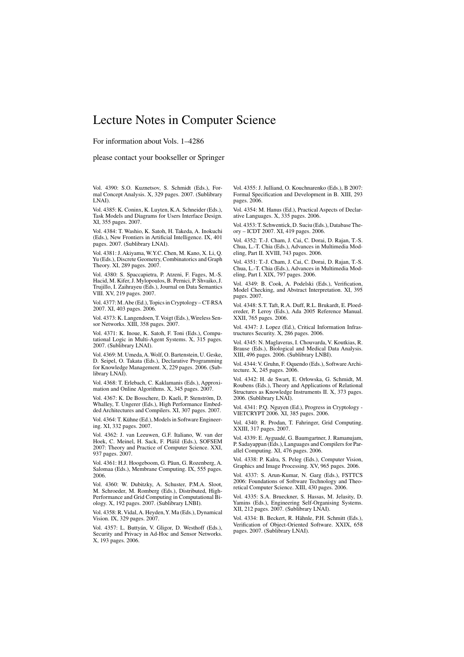## Lecture Notes in Computer Science

For information about Vols. 1–4286

please contact your bookseller or Springer

Vol. 4390: S.O. Kuznetsov, S. Schmidt (Eds.), For-mal Concept Analysis. X, 329 pages. 2007. (Sublibrary LNAI).

Vol. 4385: K. Coninx, K. Luyten, K.A. Schneider (Eds.), Task Models and Diagrams for Users Interface Design. XI, 355 pages. 2007.

Vol. 4384: T. Washio, K. Satoh, H. Takeda, A. Inokuchi (Eds.), New Frontiers in Artificial Intelligence. IX, 401 pages. 2007. (Sublibrary LNAI).

Vol. 4381: J. Akiyama, W.Y.C. Chen, M. Kano, X. Li, Q. Yu (Eds.), Discrete Geometry, Combinatorics and Graph Theory. XI, 289 pages. 2007.

Vol. 4380: S. Spaccapietra, P. Atzeni, F. Fages, M.-S. Hacid, M. Kifer, J. Mylopoulos, B. Pernici, P. Shvaiko, J. Trujillo, I. Zaihrayeu (Eds.), Journal on Data Semantics VIII. XV, 219 pages. 2007.

Vol. 4377: M.Abe (Ed.), Topics in Cryptology – CT-RSA 2007. XI, 403 pages. 2006.

Vol. 4373: K. Langendoen, T.Voigt (Eds.), Wireless Sensor Networks. XIII, 358 pages. 2007.

Vol. 4371: K. Inoue, K. Satoh, F. Toni (Eds.), Computational Logic in Multi-Agent Systems. X, 315 pages. 2007. (Sublibrary LNAI).

Vol. 4369: M. Umeda,A. Wolf, O. Bartenstein, U. Geske, D. Seipel, O. Takata (Eds.), Declarative Programming for Knowledge Management. X, 229 pages. 2006. (Sublibrary LNAI).

Vol. 4368: T. Erlebach, C. Kaklamanis (Eds.), Approximation and Online Algorithms. X, 345 pages. 2007.

Vol. 4367: K. De Bosschere, D. Kaeli, P. Stenström, D. Whalley, T. Ungerer (Eds.), High Performance Embedded Architectures and Compilers. XI, 307 pages. 2007.

Vol. 4364: T. Kühne (Ed.), Models in Software Engineering. XI, 332 pages. 2007.

Vol. 4362: J. van Leeuwen, G.F. Italiano, W. van der Hoek, C. Meinel, H. Sack, F. Plášil (Eds.), SOFSEM 2007: Theory and Practice of Computer Science. XXI, 937 pages. 2007.

Vol. 4361: H.J. Hoogeboom, G. Păun, G. Rozenberg, A. Salomaa (Eds.), Membrane Computing. IX, 555 pages. 2006.

Vol. 4360: W. Dubitzky, A. Schuster, P.M.A. Sloot, M. Schroeder, M. Romberg (Eds.), Distributed, High-Performance and Grid Computing in Computational Biology. X, 192 pages. 2007. (Sublibrary LNBI).

Vol. 4358: R. Vidal, A. Heyden,Y. Ma (Eds.), Dynamical Vision. IX, 329 pages. 2007.

Vol. 4357: L. Buttyán, V. Gligor, D. Westhoff (Eds.), Security and Privacy in Ad-Hoc and Sensor Networks. X, 193 pages. 2006.

Vol. 4355: J. Julliand, O. Kouchnarenko (Eds.), B 2007: Formal Specification and Development in B. XIII, 293 pages. 2006.

Vol. 4354: M. Hanus (Ed.), Practical Aspects of Declarative Languages. X, 335 pages. 2006.

Vol. 4353: T. Schwentick, D. Suciu (Eds.), Database Theory – ICDT 2007. XI, 419 pages. 2006.

Vol. 4352: T.-J. Cham, J. Cai, C. Dorai, D. Rajan, T.-S. Chua, L.-T. Chia (Eds.), Advances in Multimedia Modeling, Part II. XVIII, 743 pages. 2006.

Vol. 4351: T.-J. Cham, J. Cai, C. Dorai, D. Rajan, T.-S. Chua, L.-T. Chia (Eds.), Advances in Multimedia Modeling, Part I. XIX, 797 pages. 2006.

Vol. 4349: B. Cook, A. Podelski (Eds.), Verification, Model Checking, and Abstract Interpretation. XI, 395 pages. 2007.

Vol. 4348: S.T. Taft, R.A. Duff, R.L. Brukardt, E. Ploedereder, P. Leroy (Eds.), Ada 2005 Reference Manual. XXII, 765 pages. 2006.

Vol. 4347: J. Lopez (Ed.), Critical Information Infrastructures Security. X, 286 pages. 2006.

Vol. 4345: N. Maglaveras, I. Chouvarda, V. Koutkias, R. Brause (Eds.), Biological and Medical Data Analysis. XIII, 496 pages. 2006. (Sublibrary LNBI).

Vol. 4344: V. Gruhn, F. Oquendo (Eds.), Software Architecture. X, 245 pages.  $2006$ .

Vol. 4342: H. de Swart, E. Orłowska, G. Schmidt, M. Roubens (Eds.), Theory and Applications of Relational Structures as Knowledge Instruments II. X, 373 pages. 2006. (Sublibrary LNAI).

Vol. 4341: P.Q. Nguyen (Ed.), Progress in Cryptology - VIETCRYPT 2006. XI, 385 pages. 2006.

Vol. 4340: R. Prodan, T. Fahringer, Grid Computing. XXIII, 317 pages. 2007.

Vol. 4339: E. Ayguadé, G. Baumgartner, J. Ramanujam, P. Sadayappan (Eds.), Languages and Compilers for Parallel Computing. XI, 476 pages. 2006.

Vol. 4338: P. Kalra, S. Peleg (Eds.), Computer Vision, Graphics and Image Processing. XV, 965 pages. 2006.

Vol. 4337: S. Arun-Kumar, N. Garg (Eds.), FSTTCS 2006: Foundations of Software Technology and Theoretical Computer Science. XIII, 430 pages. 2006.

Vol. 4335: S.A. Brueckner, S. Hassas, M. Jelasity, D. Yamins (Eds.), Engineering Self-Organising Systems. XII, 212 pages. 2007. (Sublibrary LNAI).

Vol. 4334: B. Beckert, R. Hähnle, P.H. Schmitt (Eds.), Verification of Object-Oriented Software. XXIX, 658 pages. 2007. (Sublibrary LNAI).